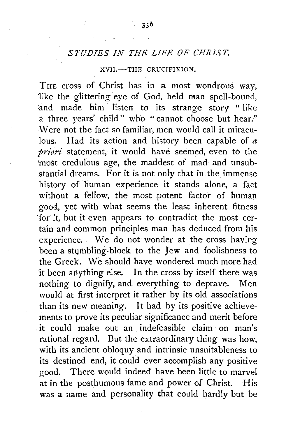## *STUDIES IN THE LIFE OF Cl!R.IST.*

## XVII.-TIIE CRUCIFIXION.

THE cross of Christ has in a most wondrous way, like the glittering eye of God, held man spell-bound, and made him listen to its strange story " like a three years' child" who " cannot choose but hear." Were not the fact so familiar, men would call it miraculous. Had its action and history been capable of *a priori* statement, it would have seemed, even to the 'most credulous age, the maddest of mad and unsub stantial dreams. For it is not only that in the immense history of human experience it stands alone, a fact without a fellow, the most potent factor of human good, yet with what seems the least inherent fitness for it, but it even appears to contradict the most certain and common principles man has deduced from his experience. . We do not wonder at the cross having been a stumbling-block to the Jew and foolishness to the Greek. We should have wondered much more had it been anything else. In the cross by itself there was nothing to dignify, and everything to deprave. Men would at first interpret it rather by its old associations than its new meaning. It had by its positive achievements to prove its peculiar significance and merit before it could make out an indefeasible claim on man's rational regard. But the extraordinary thing was how, with its ancient obloquy and intrinsic unsuitableness to its destined end, it could ever accomplish any positive good. There would indeed have been little to marvel at in the posthumous fame and power of Christ. His was a name and personality that could hardly but be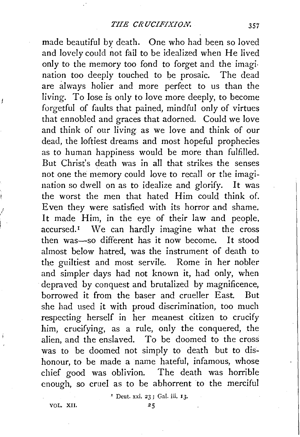made beautiful by death. One who had been so loved and lovely could not fail *to* be idealized when He lived only *to* the memory too fond to forget and the imagination too deeply touched *to* be prosaic. The dead are always holier and more perfect to us than the living. To lose is only to love more deeply, to become forgetful of faults that pained, mindful only of virtues that ennobled and graces that adorned. Could we love and think of our living as we love and think of our dead, the loftiest dreams and most hopeful prophecies as to human happiness would be more than fulfilled. But Christ's death was in all that strikes the senses not one the memory could love to recall or the imagination so dwell on as to idealize and glorify. It was the worst the men that hated Him could think of. Even they were satisfied with its horror and shame. It made Him, in the eye of their law and people. accursed.<sup>1</sup> We can hardly imagine what the cross then was-so different has it now become. It stood almost below hatred, was the instrument of death *to*  the guiltiest and most servile. Rome in her nobler and simpler days had not known it, had only, when depraved by conquest and brutalized by magnificence, borrowed it from the baser and crueller East. But she had used it with proud discrimination, too much respecting herself in her meanest citizen *to* crucify him, crucifying, as a rule, only the conquered, the alien, and the enslaved. To be doomed *to* the cross was to be doomed not simply to death but *to* dishonour, to be made a name hateful, infamous, whose chief good was oblivion. The death was horrible enough, so cruel as *to* be abhorrent to the merciful

' Deut. xxi. 23 ; Gal. iii. I 3·

VOL. XII.

ţ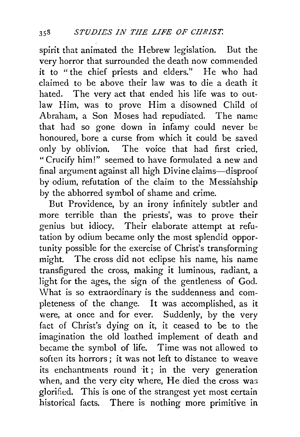spirit that animated the Hebrew legislation. But the very horror that surrounded the death now commended it to "the chief priests and elders." He who had claimed to be above their law was to die a death it hated. The very act that ended his life was to outlaw Him, was to prove Him a disowned Child of Abraham, a Son Moses had repudiated. The name that had so gone down in infamy could never be honoured, bore a curse from which it could be saved only by oblivion. The voice that had first cried, "Crucify him!" seemed to have formulated a new and final argument against all high Divine claims-disproof by odium, refutation of the claim to the Messiahship by the abhorred symbol of shame and crime.

But Providence, by an irony infinitely subtler and more terrible than the priests', was to prove their genius but idiocy. Their elaborate attempt at refutation by odium became only the most splendid opportunity possible for the exercise of Christ's transforming might. The cross did not eclipse his name, his name transfigured the cross, making it luminous, radiant, a light for the ages, the sign of the gentleness of God. What is so extraordinary is the suddenness and completeness of the change. It was accomplished, as it were, at once and for ever. Suddenly, by the very fact of Christ's dying on it, it ceased to be to the imagination the old loathed implement of death and became the symbol of life. Time was not allowed to soften its horrors ; it was not left to distance to weave its enchantments round it; in the very generation when, and the very city where, He died the cross was glorified. This is one of the strangest yet most certain historical facts. There is nothing more primitive in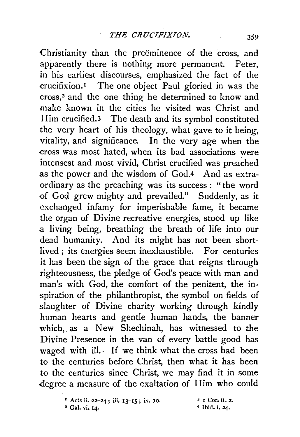Christianity than the preeminence of the cross, and apparently there is nothing more permanent. Peter, in his earliest discourses, emphasized the fact of the -crucifixion. 1 The one object Paul gloried in was the cross,<sup>2</sup> and the one thing he determined to know and make known in the cities he visited was Christ and Him crucified.3 The death and its symbol constituted the very heart of his theology, what gave to it being, vitality, and significance. In the very age when the -cross was most hated, when its bad associations were intensest and most vivid, Christ crucified was preached as the power and the wisdom of God.4 And as extraordinary as the preaching was its success: "the word of God grew mighty and prevailed." Suddenly, as it exchanged infamy for imperishable fame, it became the organ of Divine recreative energies, stood up like .a living being, breathing the breath of life into our dead humanity. And its might has not been shortlived; its energies seem inexhaustible. For centuries it has been the sign of the grace that reigns through righteousness, the pledge of God's peace with man and man's with God, the comfort of the penitent, the inspiration of the philanthropist, the symbol on fields of .slaughter of Divine charity working through kindly human hearts and gentle human hands, the banner which, as a New Shechinah, has witnessed to the Divine Presence in the van of every battle good has waged with ill. If we think what the cross had been to the centuries before Christ, then what it has been to the centuries since Christ, we may find it in some .degree a measure of the exaltation of Him who could

 $*$  Acts ii. 22-24; iii. 13-15; iv. 10.

<sup>•</sup> Gal. vi, 14.

<sup>3</sup> I Cor, ii, 2. 4 Ibid. i, 24·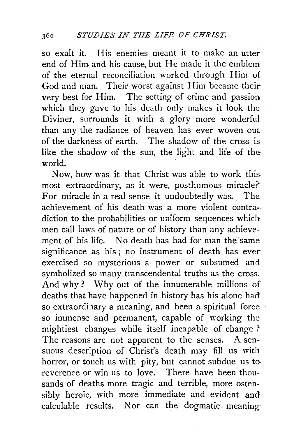so exalt it. His enemies meant it to make an utter end of Him and his cause, but He made it the emblem of the eternal reconciliation worked through Him of God and man. Their worst against Him became their very best for Him. The setting of crime and passion which they gave to his death only makes it look the Diviner, surrounds it with a glory more wonderful than any the radiance of heaven has ever woven out of the darkness of earth. The shadow of the cross is like. the shadow of the sun, the light and life of the world.

Now, how was it that Christ was able to work this. most extraordinary, as it were, posthumous miracle?' For miracle in a real sense it undoubtedly was. The achievement of his death was a more violent contradiction to the probabilities or uniform sequences which men call laws of nature or of history than any achievement of his life. No death has had for man the same significance as his ; no instrument of death has ever exercised so mysterious a power or subsumed and symbolized so many transcendental truths as the cross. And why? Why out of the innumerable millions of deaths that have happened in history has his alone had so extraordinary a meaning, and been a spiritual force so immense and permanent, capable of working the mightiest changes while itself incapable of change? The reasons are not apparent to the senses. A sensuous description of Christ's death may fill us with horror, or touch us with pity, but cannot subdue us to reverence or win us to love. There have been thousands of deaths more tragic and terrible, more ostensibly heroic, with more immediate and evident and calculable results. Nor can the dogmatic meaning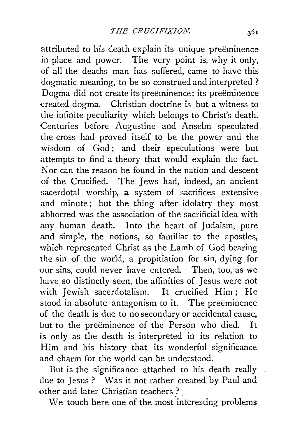attributed to his death explain its unique preëminence in place and power. The very point is, why it only, of all the deaths man has suffered, came to have this dogmatic meaning, to be so construed and interpreted ? Dogma did not create its preëminence; its preëminence created dogma. Christian doctrine is but a witness to the infinite peculiarity which belongs to Christ's death. Centuries before Augustine and Anselm speculated the cross had proved itself to be the power and the wisdom of God; and their speculations were but .attempts to find a theory that would explain the fact. Nor can the reason be found in the nation and descent of the Crucified. The Jews had, indeed, an ancient sacerdotal worship, a system of sacrifices extensive .and minute; but the thing after idolatry they most .abhorred was the association of the sacrificial idea with any human death. Into the heart of Judaism, pure and simple, the notions, so familiar to the apostles, which represented Christ as the Lamb of God bearing the sin of the world, a propitiation for sin, dying for our sins, could never have entered. Then, too, as we have so distinctly seen, the affinities of Jesus were not with Jewish sacerdotalism. It crucified Him; He stood in absolute antagonism to it. The preëminence of the death is due to no secondary or accidental cause, but to the preëminence of the Person who died. It is only as the death is interpreted in its relation to Him and his history that its wonderful significance and charm for the world can be understood.

But is the significance attached to his death really due to Jesus ? Was it not rather created by Paul and other and later Christian teachers ?

We touch here one of the most interesting problems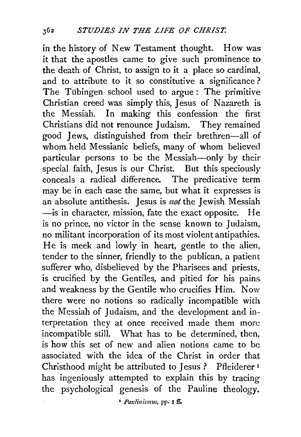in the history of New Testament thought. How was it that the apostles came to give such prominence to the death of Christ, to assign to it a place so cardinal, and to attribute to it so constitutive a significance ? The Tübingen school used to argue: The primitive Christian creed was simply this, Jesus of Nazareth is the Messiah. In making this confession the first Christians did not renounce Judaism. They remained good Jews, distinguished from their brethren-all of whom. held Messianic beliefs, many of whom believed particular persons to be the Messiah-only by their special faith, Jesus is our Christ. But this speciously conceals a radical difference. The predicative term may be in each case the same, but what it expresses is an absolute antithesis. Jesus is *not* the Jewish Messiah -is in character, mission, fate the exact opposite. He is no prince, no victor in the sense known to Judaism, no militant incorporation of its most violent antipathies. He is meek and lowly in heart, gentle to the alien, tender to the sinner, friendly to the publican, a patient sufferer who, disbelieved by the Pharisees and priests, is crucified by the Gentiles, and pitied for his pains and weakness by the Gentile who crucifies Him. Now there were no notions so radically incompatible with the Messiah of Judaism, and the development and interpretation they at once received made them more incompatible still. What has to be determined, then, is how this set of new and alien notions came to be associated with the idea of the Christ in order that Christhood might be attributed to Jesus ? Pfleiderer<sup>1</sup> has ingeniously attempted to explain this by tracing the psychological genesis of the Pauline theology.

• *Paz:linismus,* pp; I ff,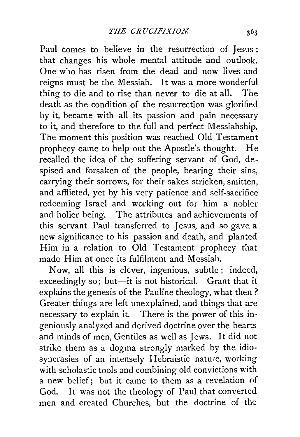Paul comes to believe in the resurrection of Jesus ; that changes his whole mental attitude and outlook. One who has risen from the dead and now lives and reigns must be the Messiah. It was a more wonderful thing to die and to rise than never to die at all. The death as the condition of the resurrection was glorified by it, became with all its passion and pain necessary to it, and therefore to the full and perfect Messiahship. The moment this position was reached Old Testament prophecy came to help out the Apostle's thought. He recalled the idea of the suffering servant of God, despised and forsaken of the people, bearing their sins, carrying their sorrows, for their sakes stricken, smitten, and afflicted, yet by his very patience and self~sacrifice redeeming Israel and working out for him a nobler and holier being. The attributes and achievements of this servant Paul transferred to Jesus, and so gave a new significance to his passion and death, and planted Him in a relation to Old Testament prophecy that made Him at once its fulfilment and Messiah.

Now, all this is clever, ingenious, subtle; indeed, exceedingly so; but-it is not historical. Grant that it explains the genesis of the Pauline theology, what then? Greater things are left unexplained, and things that are necessary to explain it. There is the power of this ingeniously analyzed and derived doctrine over the hearts and minds of men, Gentiles as well as Jews. It did not strike them as a dogma strongly marked by the idio~. syncrasies of an intensely Hebraistic nature, working with scholastic tools and combining old convictions with a new belief; but it came to them as a revelation of God. It was not the theology of Paul that converted men and created Churches, but the doctrine of the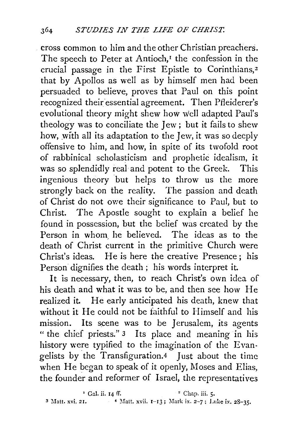cross common to him and the other Christian preachers, The speech to Peter at Antioch, $I$  the confession in the crucial passage in the First Epistle to Corinthians,<sup>2</sup> that by Apollos as well as by himself men had been persuaded to believe, proves that Paul on this point recognized their essential agreement. Then Pfleiderer's evolutional theory might shew how well adapted Paul's theology was to conciliate the *lew* ; but it fails to shew how, with all its adaptation to the lew, it was so deeply offensive to him, and how, in spite of its twofold root of rabbinical scholasticism and prophetic idealism, it was so splendidly real and potent to the Greek. This ingenious theory but helps to throw us the more strongly back on the reality. The passion and death of Christ do not owe their significance to Paul, but to Christ. The Apostle sought to explain a belief he found in possession, but the belief was created by the Person in whom, he believed. The ideas as to the death of Christ current in the primitive Church were Christ's ideas. He is here the creative Presence; his Person dignifies the death ; his words interpret it.

It is necessary, then, to reach Christ's own idea of his death and what it was to be, and then see how He realized it. He early anticipated his death, knew that without it He could not be faithful to Himself and his mission. Its scene was to be *Jerusalem*, its agents " the chief priests." 3 Its place and meaning in his history were typified to the imagination of the Evangelists by the Transfiguration.4 Just about the time when He began to speak of it openly, Moses and Elias, the founder and reformer of Israel, the representatives

 $E^2$  Gal. ii. 14 ff.  $\qquad \qquad$   $\qquad$   $\qquad$   $\qquad$   $\qquad$   $\qquad$   $\qquad$   $\qquad$   $\qquad$   $\qquad$   $\qquad$   $\qquad$   $\qquad$   $\qquad$   $\qquad$   $\qquad$   $\qquad$   $\qquad$   $\qquad$   $\qquad$   $\qquad$   $\qquad$   $\qquad$   $\qquad$   $\qquad$   $\qquad$   $\qquad$   $\qquad$   $\qquad$   $\qquad$   $\qquad$   $\qquad$   $\qquad$ <sup>3</sup> Matt. xvi. 21. **4** Matt. xvii. 1-13; Mark ix. 2-7; Luke ix. 28-35.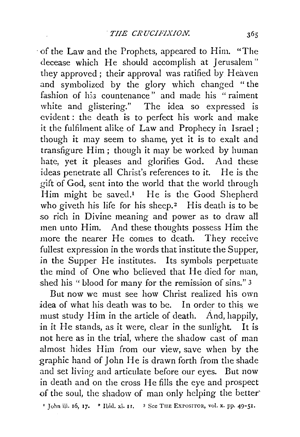·of the Law and the Prophets, appeared to Him. "The decease which He should accomplish at Jerusalem" they approved; their approval was ratified by Heaven and symbolized by the glory which changed " the fashion of his countenance" and made his "raiment white and glistering." The idea so expressed is evident : the death is to perfect his work and make it the fulfilment alike of Law and Prophecy in Israel ; though it may seem to shame, yet it is to exalt and transfigure Him; though it may be worked by human hate, yet it pleases and glorifies God. And these ideas penetrate all Christ's references to it. He is the gift of God, sent into the world that the world through Him might be saved.<sup>1</sup> He is the Good Shepherd who giveth his life for his sheep.<sup>2</sup> His death is to be so rich in Divine meaning and power as to draw al1 men unto Him. And these thoughts possess Him the more the nearer He comes to death. They receive fullest expression in the words that institute the Supper, in the Supper He institutes. Its symbols perpetuate the mind of One who believed that He died for man, shed his "blood for many for the remission of sins." 3

But now we must see how Christ realized his own idea of what his death was to be. In order to this we must study Him in the article of death. And, happily, in it He stands, as it were, clear in the sunlight. It is not here as in the trial, where the shadow cast of man almost hides Him from our view, save when by the graphic hand of John He is drawn forth from the shade and set living and articulate before our eyes. But now in death and on the cross He fills the eye and prospect of the soul, the shadow of man only helping the better'

<sup>1</sup> John iii. 16, 17. <sup>2</sup> Ibid. xi. 11. <sup>3</sup> See THE EXPOSITOR, vol. x. pp. 49-51.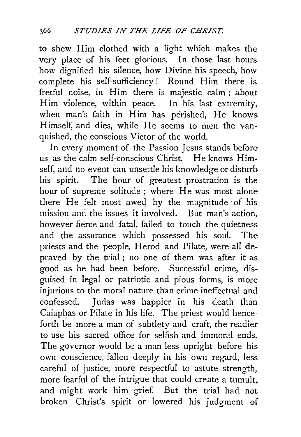to shew Him clothed with a light which makes the very place of his feet glorious. In those last hours how dignified his silence, how Divine his speech, how complete his self-sufficiency! Round Him there is fretful noise, in Him there is majestic calm ; about Him violence, within peace. In his last extremity, when man's faith in Him has perished, He knows Himself, and dies, while He seems to men the vanquished, the conscious Victor of the world.

In every moment of the Passion Jesus stands before us as the calm self-conscious Christ. He knows Himself, and no event can unsettle his knowledge or disturb his spirit. The hour of greatest prostration is the hour of supreme solitude; where He was most alone there He felt most awed by the magnitude ·of his mission and the issues it involved. But man's action, however fierce and fatal, failed to touch the quietness and the assurance which possessed his soul. The priests and the people, Herod and Pilate, were all depraved by the trial ; no one of them was after it as good as he had been before. Successful crime, disguised in legal or patriotic and pious forms, is more injurious to the moral nature than crime ineffectual and confessed. Judas was happier in his death than Caiaphas or Pilate in his life. The priest would henceforth be more a man of subtlety and craft, the readier to use his sacred office for selfish and immoral ends. The governor would be a man less upright before his. own conscience, fallen deeply in his own regard, less . careful of justice, more respectful to astute strength, more fearful of the intrigue that could create a tumult, and might work him grief. But the trial had not broken Christ's spirit or lowered his judgment of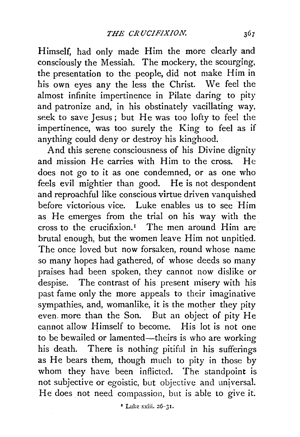Himself, had only made Him the more clearly and consciously the Messiah. The mockery, the scourging, the presentation to the people, did not make Him in his own eyes any the less the Christ. We feel the almost infinite impertinence in Pilate daring to pity and patronize and, in his obstinately vacillating way, seek to save Jesus; but He was too lofty to feel the impertinence, was too surely the King to feel as if anything could deny or destroy his kinghood.

And this serene consciousness of his Divine dignity and mission He carries with Him to the cross. He does not go to it as one condemned, or as one who feels evil mightier than good. He is not despondent and reproachful like conscious virtue driven vanquished before victorious vice. Luke enables us to see Him as He emerges from the trial on his way with the cross to the crucifixion.<sup> $I$ </sup> The men around Him are brutal enough, but the women leave Him not unpitied. The once loved but now forsaken, round whose name so many hopes had gathered, of whose deeds so many praises had been spoken, they cannot now dislike or despise. The contrast of his present misery with his past fame only the more appeals to their imaginative sympathies, and, womanlike, it is the mother they pity even. more than the Son. But an object of pity He cannot allow Himself to become. His lot is not one to be bewailed or lamented—theirs is who are working his death. There is nothing pitiful in his sufferings as He bears them, though much to pity in those by whom they have been inflicted. The standpoint is not subjective or egoistic, but objective and universal. He does not need compassion, but is able to give it.

1 Luke xxiii. 26-3 I.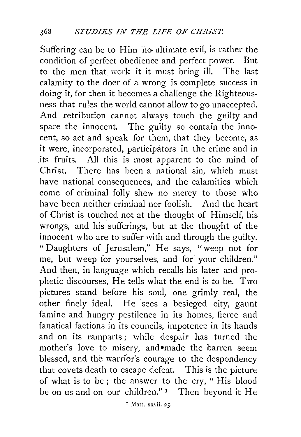Suffering can be to Him no ultimate evil, is rather the condition of perfect obedience and perfect power. But to the men that. work it it must bring ill. The last calamity to the doer of a wrong is complete success in doing it, for then it becomes a challenge the Righteousness that rules the world cannot allow to go unaccepted. And retribution cannot always touch the guilty and spare the innocent. The guilty so contain the innocent, so act and speak for them, that they become, as it were, incorporated, participators in the crime and in its fruits. All this is most apparent to the mind of Christ. There has been a national sin, which must have national consequences, and the calamities which come of criminal folly shew no mercy to those who have been neither criminal nor foolish. And the heart of Christ is touched not at the thought of Himself, his wrongs, and his sufferings, but at the thought of the innocent who are to suffer with and through the guilty. " Daughters of Jerusalem," He says, "weep not for me, but weep for yourselves, and for your children." And then, in language which recalls his later and prophetic discourses, He tells what the end is to be. Two pictures stand before his soul, one grimly real, the other finely ideal. He sees a besieged city, gaunt famine and hungry pestilence in its homes, fierce and fanatical factions in its councils, impotence in its hands and on its ramparts; while despair has turned the mother's love to misery, and•made the barren seem blessed, and the warrior's courage to the despondency that covets death to escape defeat. This is the picture of what is to be; the answer to the cry, " His blood be on us and on our children."<sup>1</sup> Then beyond it He

<sup>1</sup> Matt. xxvii. 25.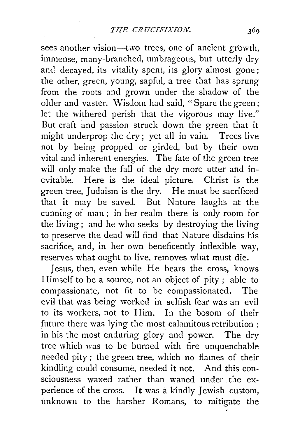sees another vision-two trees, one of ancient growth, immense, many-branched, umbrageous, but utterly dry and decayed, its vitality spent, its glory almost gone; the other, green, young, sapful, a tree that has sprung from the roots and grown under the shadow of the older and vaster. Wisdom had said, "Spare the green; let the withered perish that the vigorous may live." But craft and passion struck down the green that it might underprop the dry; yet all in vain. Trees live not by being propped or girded, but by their own vital and inherent energies. The fate of the green tree will only make the fall of the dry more utter and inevitable. Here is the ideal picture. Christ is the green tree, Judaism is the dry. He must be sacrificed that it may be saved. But Nature laughs at the cunning of man; in her realm there is only room for the living; and he who seeks by destroying the living to preserve the dead will find that Nature disdains his sacrifice, and, in her own beneficently inflexible way, reserves what ought to live, removes what must die.

Jesus, then, even while He bears the cross, knows Himself to be a source, not an object of pity ; able to compassionate, not fit to be compassionated. The evil that was being worked in selfish fear was an evil to its workers, not to Him. In the bosom of their future there was lying the most calamitous retribution ; in his the most enduring glory and power. The dry tree which was to be burned with fire unquenchable needed pity ; the green tree, which no flames of their kindling could consume, needed it not. And this consciousness waxed rather than waned under the experience of the cross. It was a kindly Jewish custom, unknown to the harsher Romans, to mitigate the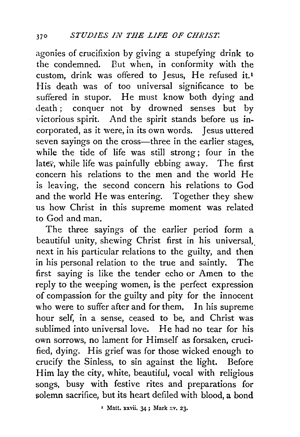agonies of crucifixion by giving a stupefying drink to the condemned. But when, in conformity with the custom, drink was offered to Jesus, He refused it.<sup>1</sup> His death was of too universal significance to be suffered in stupor. He must know both dying and death ; conquer not by drowned senses but by victorious spirit. And the spirit stands before us incorporated, as it were, in its own words. Jesus uttered seven sayings on the cross—three in the earlier stages, while the tide of life was still strong; four in the later, while life was painfully ebbing away. The first concern his relations to the men and the world He is leaving, the second concern his relations to God and the world He was entering. Together they shew us how Christ in this supreme moment was related to God and man.

The three sayings of the earlier period form a beautiful unity, shewing Christ first in his universal, next in his particular relations to the guilty, and then in his personal relation to the true and saintly. The first saying is like the tender echo or Amen to the reply to the weeping women, is the perfect expression of compassion for the guilty and pity for the innocent who were to suffer after and for them, In his supreme hour self, in a sense, ceased to be, and Christ was sublimed into universal love. He had no tear for his own sorrows, no lament for Himself as forsaken, crucified, dying. His grief was for those wicked enough to crucify the Sinless, to sin against the light. Before Him lay the city, white, beautiful, vocal with religious songs, busy with festive rites and preparations for solemn sacrifice, but its heart defiled with blood, a bond

<sup>1</sup> Matt. xxvii. 34; Mark xv. 23.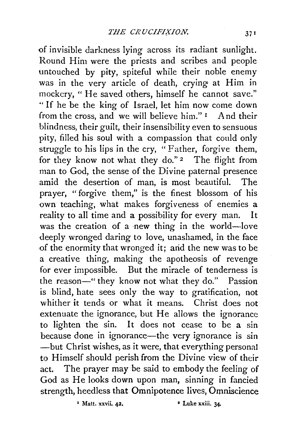of invisible darkness lying across its radiant sunlight. Round Him were the priests and scribes and people untouched by pity, spiteful while their noble enemy was in the very article of death, crying at Him in mockery, " He saved others, himself he cannot save." "If he be the king of Israel, let him now come down from the cross, and we will believe him." I And their from the cross, and we will believe him."  $I$ blindness, their guilt, their insensibility even to sensuous pity, filled his soul with a compassion that could only struggle to his lips in the cry, "Father, forgive them, for they know not what they do."<sup>2</sup> The flight from man to God, the sense of the Divine paternal presence amid the desertion of man, is most beautiful. The prayer, "forgive them," is the finest blossom of his own teaching, what makes forgiveness of enemies a reality to all time and a possibility for every man. It was the creation of a new thing in the world-love deeply wronged daring to love, unashamed, in the face of the enormity that wronged it; arid the new was to be a creative thing, making the apotheosis of revenge for ever impossible. But the miracle of tenderness is the reason—" they know not what they do." Passion is blind, hate sees only the way to gratification, not whither it tends or what it means. Christ does not extenuate the ignorance, but He allows the ignorance to lighten the sin. It does not cease to be a sin because done in ignorance—the very ignorance is sin  $-$ but Christ wishes, as it were, that every thing personal to Himself should perish from the Divine view of their act. The prayer may be said to embody the feeling of God as He looks down upon man, sinning in fancied strength, heedless that Omnipotence lives, Omniscience

*'* Matt. xxvii. 42. • Luke xxiii. 34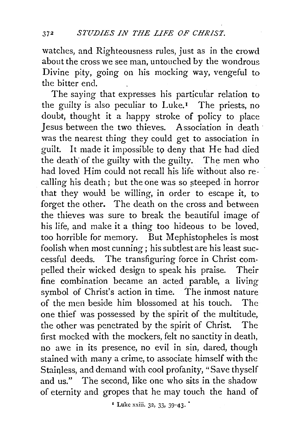watches, and Righteousness rules, just as in the crowd about the cross we see man, untouched by the wondrous Divine pity, going on his mocking way, vengeful to the bitter end.

The saying that expresses his particular relation to the guilty is also peculiar to Luke.<sup> $I$ </sup> The priests, no doubt, thought it a happy stroke of policy to place Jesus between the two thieves. Association in death · was the nearest thing they could get to association in guilt. It made it impossibleto deny that He had died the death' of the guilty with the guilty. The men who had loved Him could not recall his life without also recalling his death; but the one was so steeped in horror that they would be willing, in order to escape it, to forget the other. The death on the cross and between the thieves was sure to break the beautiful image of his life, and make it a thing too hideous to be loved, too horrible for memory. But Mephistopheles is most foolish when most cunning; his subtlest are his least successful deeds. The transfiguring force in Christ compelled their wicked design to speak his praise. Their fine combination became an acted parable, a living symbol of Christ's action in time. The inmost nature of the men beside him blossomed at his touch. The one thief was possessed by the spirit of the multitude, the other was penetrated by the spirit of Christ. The first mocked with the mockers, felt no sanctity in death, no awe in its presence, no evil in sin, dared, though stained with many a crime, to associate himself with the Stainless, and demand with cool profanity, "Save thyself and us." The second, like one who *sits* in the shadow of eternity and gropes that he may touch the hand of

 $*$  Luke xxiii. 32, 33, 39-43.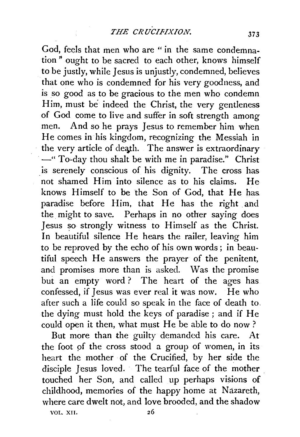God, feels that men who are " in the same condemnation " ought to be sacred to each other, knows himself to be justly, while Jesus is unjustly, condemned, believes that one who is condemned for his very goodness, and is so good as to be gracious to the men who condemn Him, must be indeed the Christ, the very gentleness of God come to live and suffer in soft strength among men. And so he prays Jesus to remember him when He comes in his kingdom, recognizing the Messiah in the very article of death. The answer is extraordinary -"To-day thou shalt be with me in paradise." Christ is serenely conscious of his dignity. The cross has not shamed Him into silence as to his claims. He knows Himself to be the Son of God, that He has. paradise before Him, that He has the right and the might to save. Perhaps in no other saying does Jesus so strongly witness to Himself as the Christ. In beautiful silence He hears the railer, leaving him to be reproved by the echo of his own words; in beautiful speech He answers the prayer of the penitent, and promises more than is asked. Was the promise but an empty word ? The heart of the ages has confessed, if Jesus was ever real it was now. He who after such a life could so speak in the face of death to. the dying must hold the keys of paradise; and if He could open it then, what must He be able to do now?

But more than the guilty demanded his care. At the foot of the cross stood a group of women, in its heart the mother of the Crucified, by her side the disciple Jesus loved. The tearful face of the mother touched her Son, and called up perhaps visions of childhood, memories of the happy home at Nazareth, where care dwelt not, and love brooded, and the shadow

VOL. XII.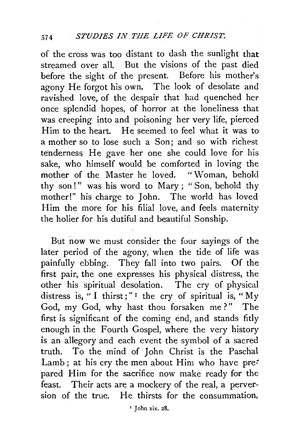of the cross was too distant to dash the sunlight that streamed over all. But the visions of the past died before the sight of the present. Before his mother's agony He forgot his own. The look of desolate and ravished love, of the despair that had quenched her once splendid hopes, of horror at the loneliness that was creeping into and poisoning her very life, pierced Him to the heart. He seemed to feel what it was to a mother so to lose such a Son; and so with richest tenderness He gave her one she could love for his sake, who himself would be comforted in loving the mother of the Master he loved. " Woman, behold thy son!" was his word to Mary; "Son, behold thy mother!" his charge to John. The world has loved Him the more for his filial love, and feels maternity the holier for his dutiful and beautiful Sonship.

But now we must consider the four sayings of the later period of the agony, when the tide of life was painfully ebbing. They fall into two pairs. Of the first pair, the one expresses his physical distress, the other his spiritual desolation. The cry of physical distress is, " I thirst;"<sup>1</sup> the cry of spiritual is, " $M_V$ God, my God, why hast thou forsaken me?" The first is significant of the coming end, and stands fitly enough in the Fourth Gospel, where the very history is an allegory and each event the symbol of a sacred truth. To the mind of John Christ is the Paschal Lamb; at his cry the men about Him who have prepared Him for the sacrifice now make ready for the feast. Their acts are a mockery of the real, a perversion of the true. He thirsts for the consummation,

 $'$  John xix. 28.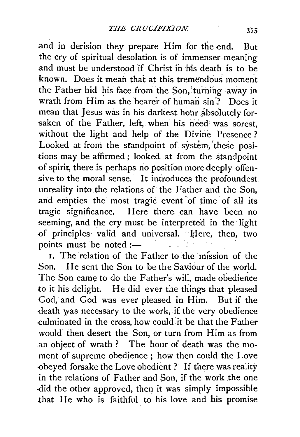and in derision they prepare Him for the end. But the cry of spiritual desolation is of immenser meaning and must be understood if Christ in his death is to be known. Does it mean that at this tremendous moment the Father hid his face from the Son, turning away in wrath from Him as the bearer of human sin'? Does it mean that Jesus was in his darkest hour absolutely forsaken of the Father, left, when his need was sorest, without the light and help of the Divine Presence ? Looked at from the standpoint of system, 'these positions may be affirmed; looked at from the standpoint of spirit, there is perhaps no position more deeply offensive to the moral sense. It introduces the profound est unreality into the relations of the Father and the Son, and empties the most tragic event 'of time of all its tragic significance. Here there can ·have been no seeming, and the cry must be interpreted in the light of principles valid and universal. Here, then, two points must be noted :-

1. The relation of the Father to the mission of the Son. He sent the Son to be the Saviour of the world. The Son came to do the Father's will, made obedience to it his delight. He did ever the things that pleased God, and God was ever pleased in Him. But if the death was necessary to the work, i£ the very obedience -culminated in the cross, how could· it be that the Father would then desert the Son, or turn from Him as from .an object of wrath ? The hour of death was the moment of supreme obedience ; how then could the Love obeyed forsake the Love obedient? If there was reality in the relations of Father and Son, if the work the one .did the other approved, then it was simply impossible that He who is faithful to his love and his promise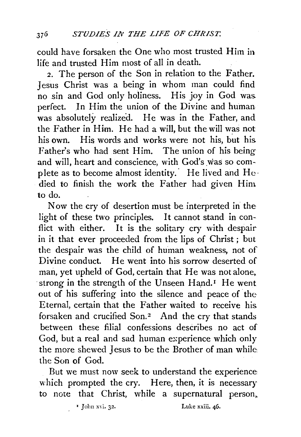could have forsaken the One who most trusted Him in life and trusted Him most of all in death.

2. The person of the Son in relation to the Father. Jesus Christ was a being in whom man could find no sin and God only holiness. His joy in God was. perfect. In Him the union of the Divine and human was absolutely realized. He was in the Father, and the Father in Him. He had a will, but the will was not his own. His words and works were not his, but his. Father's who had sent Him. The union of his being and will, heart and conscience, with God's was so complete as to become almost identity. He lived and  $He$ . died to finish the work the Father had given Him to do.

Now the cry of desertion must be interpreted in the light of these two principles. It cannot stand in canflict with either. It is the solitary cry with despair in it that ever proceeded from the lips of Christ ; but the despair was the child of human weakness, not of Divine conduct. He went into his sorrow deserted of man, yet upheld of God, certain that He was not alone. strong in the strength of the Unseen Hand.<sup>1</sup> He went out of his suffering into the silence and peace of the Eternal, certain that the Father waited to receive his. forsaken and crucified Son. $2$  And the cry that stands between these filial confessions describes no act of God, but a real and sad human experience which only the more shewed Jesus to be the Brother of man while the Son of God.

But we must now seek to understand the experience· which prompted the cry. Here, then, it is necessary to note that Christ, while a supernatural person,

1 **John** xvi. **32.** Luke xxiii. 46.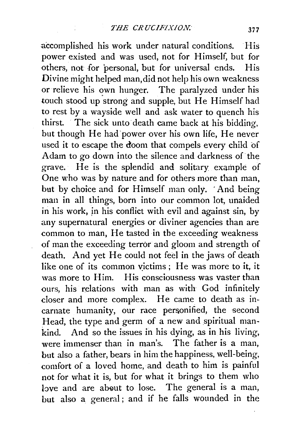accomplished his work under natural conditions. His power existed and was used, not for Himself, but for others, not for personal, but for universal ends. His Divine might helped man, did not help his own weakness or relieve his own hunger. The paralyzed under his touch stood up strong and supple, but He Himself had to rest by a wayside well and ask water to quench his thirst. The sick unto death came back at his bidding, but though He had 'power over his own life, He never used it to escape the doom that compels every child of Adam to go down into the silence and darkness of the grave. He is the splendid and solitary example of One who was by nature and for others more than man, but by choice and for Himself man only. And being man in all things, born into our common lot, unaided in his work, jn his conflict with evil and against sin, by any supernatural energies or diviner agencies than are common to man, He tasted in the exceeding weakness of man the exceeding terror and gloom and strength of death. And yet He could not feel in the jaws of death like one of its common victims; He was more to it, it was more to Him. His consciousness was vaster than ours, his relations with man as with God infinitely closer and more complex. He came to death as incarnate humanity, our race personified, the second Head, the type and germ of a new and spiritual mankind. And so the issues in his dying, as in his living, were immenser than in man's. The father is a man, but also a father, bears in him the happiness, well-being, comfort of a loved home, and death to him is painful not for what it is, but for what it brings to them who love and are about to lose. The general is a man, but also a general ; and if he falls wounded in the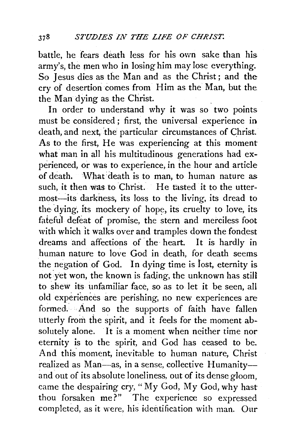battle, he tears death less for his own sake than his army's, the men who in losing him may lose everything. So Jesus dies as the Man and as the Christ ; and the cry of desertion comes from Him as the Man, but the the Man dying as the Christ.

In order to understand why it was so two points must be considered ; first, the universal experience in death, and next, the particular circumstances of Christ. As to the first, He was experiencing at this moment what man in all his multitudinous generations had experienced, or was to experience, in the hour and article of death. What death is to man, to human nature as such, it then was to Christ. He tasted it to the uttermost—its darkness, its loss to the living, its dread to the dying, its mockery of hope, its cruelty to love, its fateful defeat of promise, the stern and merciless foot with which it walks over and tramples down the fondest dreams and affections of the heart. It is hardly in human nature to love God in death, for death seems the negation of God. In dying time is lost, eternity is not 'yet won, the known is fading, the unknown has still to shew its unfamiliar face, so as to let it be seen, all old experiences are perishing, no new experiences are formed. And so the supports of faith have fallen utterly from the spirit, and it feels for the moment absolutely alone. It is a moment when neither time nor eternity is to the spirit, and God has ceased to be. And this moment, inevitable to human nature, Christ realized as Man-as, in a sense, collective Humanityand out of its absolute loneliness, out of its dense gloom, came the despairing cry, "My God, My God, why hast thou forsaken me?" The experience so expressed completed, as it were, his identification with man. Our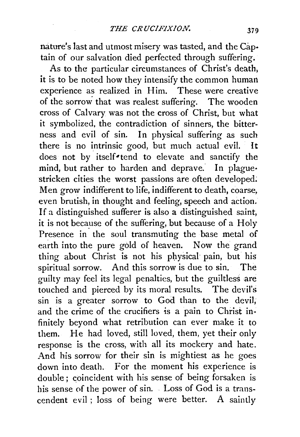nature's last and utmost misery was tasted, and the Cap· tain of our salvation died perfected through suffering.

As to the particular circumstances of Christ's death, it is to be noted how they intensify the common human experience as realized in Him. These were creative of the sorrow that was realest suffering. The wooden cross of Calvary was not the cross of Christ, but what it symbolized, the contradiction of sinners, the bitterness and evil of sin. In physical suffering as such there is no intrinsic good, but much actual evil. It does not by itself<sup>\*</sup>tend to elevate and sanctify the mind, but rather to harden and deprave. In plague. stricken cities the worst passions are often developed. Men grow indifferent to life, indifferent to death, coarse, even brutish, in thought and feeling, speech and action. If a distinguished sufferer is also a distinguished saint, it is not because of the suffering, but because of a Holy Presence in the soul transmuting the base metal of earth into the pure gold of heaven. Now the grand thing about Christ is not his physical pain, but his spiritual sorrow. And this sorrow is due to sin. The guilty may feel its legal penalties, but the guiltless are touched and pierced by its moral results. The devil's sin is a greater sorrow to God than to the devil; and the crime of the crucifiers is a pain to Christ infinitely beyond what retribution can ever make it to them. He had loved, still loved, them, yet their only response is the cross, with all its mockery and hate. And his sorrow for their sin is mightiest as he goes down into death. For the moment his experience is double ; coincident with his sense of being forsaken is his sense of the power of sin. . Loss of God is a transcendent evil ; loss of being were better. A saintly